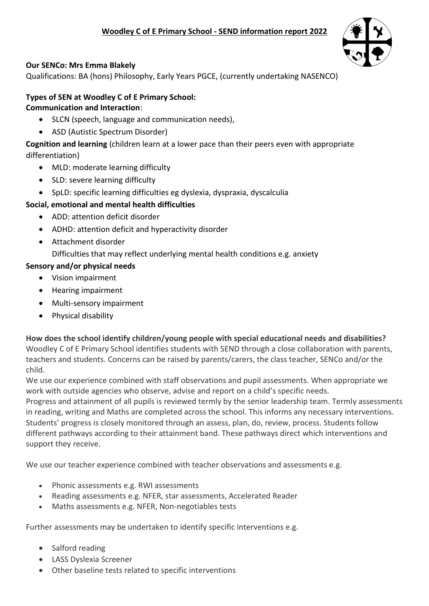

## **Our SENCo: Mrs Emma Blakely**

Qualifications: BA (hons) Philosophy, Early Years PGCE, (currently undertaking NASENCO)

# **Types of SEN at Woodley C of E Primary School:**

### **Communication and Interaction**:

- SLCN (speech, language and communication needs),
- ASD (Autistic Spectrum Disorder)

**Cognition and learning** (children learn at a lower pace than their peers even with appropriate differentiation)

- MLD: moderate learning difficulty
- SLD: severe learning difficulty
- SpLD: specific learning difficulties eg dyslexia, dyspraxia, dyscalculia

# **Social, emotional and mental health difficulties**

- ADD: attention deficit disorder
- ADHD: attention deficit and hyperactivity disorder
- Attachment disorder

Difficulties that may reflect underlying mental health conditions e.g. anxiety

## **Sensory and/or physical needs**

- Vision impairment
- Hearing impairment
- Multi-sensory impairment
- Physical disability

## **How does the school identify children/young people with special educational needs and disabilities?**

Woodley C of E Primary School identifies students with SEND through a close collaboration with parents, teachers and students. Concerns can be raised by parents/carers, the class teacher, SENCo and/or the child.

We use our experience combined with staff observations and pupil assessments. When appropriate we work with outside agencies who observe, advise and report on a child's specific needs.

Progress and attainment of all pupils is reviewed termly by the senior leadership team. Termly assessments in reading, writing and Maths are completed across the school. This informs any necessary interventions. Students' progress is closely monitored through an assess, plan, do, review, process. Students follow different pathways according to their attainment band. These pathways direct which interventions and support they receive.

We use our teacher experience combined with teacher observations and assessments e.g.

- Phonic assessments e.g. RWI assessments
- Reading assessments e.g. NFER, star assessments, Accelerated Reader
- Maths assessments e.g. NFER, Non-negotiables tests

Further assessments may be undertaken to identify specific interventions e.g.

- Salford reading
- LASS Dyslexia Screener
- Other baseline tests related to specific interventions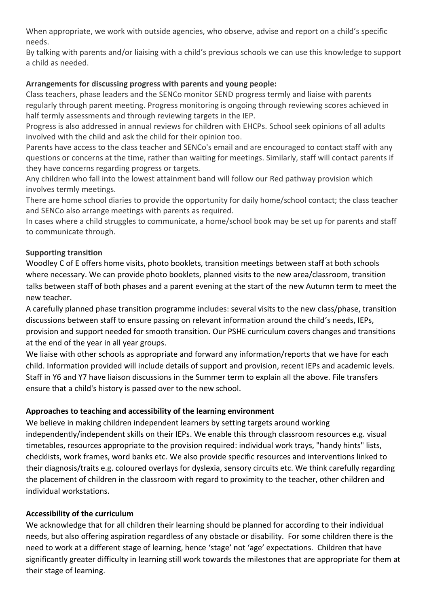When appropriate, we work with outside agencies, who observe, advise and report on a child's specific needs.

By talking with parents and/or liaising with a child's previous schools we can use this knowledge to support a child as needed.

### **Arrangements for discussing progress with parents and young people:**

Class teachers, phase leaders and the SENCo monitor SEND progress termly and liaise with parents regularly through parent meeting. Progress monitoring is ongoing through reviewing scores achieved in half termly assessments and through reviewing targets in the IEP.

Progress is also addressed in annual reviews for children with EHCPs. School seek opinions of all adults involved with the child and ask the child for their opinion too.

Parents have access to the class teacher and SENCo's email and are encouraged to contact staff with any questions or concerns at the time, rather than waiting for meetings. Similarly, staff will contact parents if they have concerns regarding progress or targets.

Any children who fall into the lowest attainment band will follow our Red pathway provision which involves termly meetings.

There are home school diaries to provide the opportunity for daily home/school contact; the class teacher and SENCo also arrange meetings with parents as required.

In cases where a child struggles to communicate, a home/school book may be set up for parents and staff to communicate through.

### **Supporting transition**

Woodley C of E offers home visits, photo booklets, transition meetings between staff at both schools where necessary. We can provide photo booklets, planned visits to the new area/classroom, transition talks between staff of both phases and a parent evening at the start of the new Autumn term to meet the new teacher.

A carefully planned phase transition programme includes: several visits to the new class/phase, transition discussions between staff to ensure passing on relevant information around the child's needs, IEPs, provision and support needed for smooth transition. Our PSHE curriculum covers changes and transitions at the end of the year in all year groups.

We liaise with other schools as appropriate and forward any information/reports that we have for each child. Information provided will include details of support and provision, recent IEPs and academic levels. Staff in Y6 and Y7 have liaison discussions in the Summer term to explain all the above. File transfers ensure that a child's history is passed over to the new school.

## **Approaches to teaching and accessibility of the learning environment**

We believe in making children independent learners by setting targets around working independently/independent skills on their IEPs. We enable this through classroom resources e.g. visual timetables, resources appropriate to the provision required: individual work trays, "handy hints" lists, checklists, work frames, word banks etc. We also provide specific resources and interventions linked to their diagnosis/traits e.g. coloured overlays for dyslexia, sensory circuits etc. We think carefully regarding the placement of children in the classroom with regard to proximity to the teacher, other children and individual workstations.

#### **Accessibility of the curriculum**

We acknowledge that for all children their learning should be planned for according to their individual needs, but also offering aspiration regardless of any obstacle or disability. For some children there is the need to work at a different stage of learning, hence 'stage' not 'age' expectations. Children that have significantly greater difficulty in learning still work towards the milestones that are appropriate for them at their stage of learning.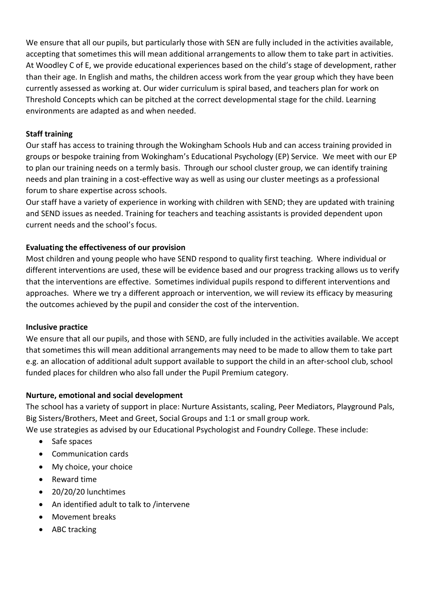We ensure that all our pupils, but particularly those with SEN are fully included in the activities available, accepting that sometimes this will mean additional arrangements to allow them to take part in activities. At Woodley C of E, we provide educational experiences based on the child's stage of development, rather than their age. In English and maths, the children access work from the year group which they have been currently assessed as working at. Our wider curriculum is spiral based, and teachers plan for work on Threshold Concepts which can be pitched at the correct developmental stage for the child. Learning environments are adapted as and when needed.

#### **Staff training**

Our staff has access to training through the Wokingham Schools Hub and can access training provided in groups or bespoke training from Wokingham's Educational Psychology (EP) Service. We meet with our EP to plan our training needs on a termly basis. Through our school cluster group, we can identify training needs and plan training in a cost-effective way as well as using our cluster meetings as a professional forum to share expertise across schools.

Our staff have a variety of experience in working with children with SEND; they are updated with training and SEND issues as needed. Training for teachers and teaching assistants is provided dependent upon current needs and the school's focus.

### **Evaluating the effectiveness of our provision**

Most children and young people who have SEND respond to quality first teaching. Where individual or different interventions are used, these will be evidence based and our progress tracking allows us to verify that the interventions are effective. Sometimes individual pupils respond to different interventions and approaches. Where we try a different approach or intervention, we will review its efficacy by measuring the outcomes achieved by the pupil and consider the cost of the intervention.

#### **Inclusive practice**

We ensure that all our pupils, and those with SEND, are fully included in the activities available. We accept that sometimes this will mean additional arrangements may need to be made to allow them to take part e.g. an allocation of additional adult support available to support the child in an after-school club, school funded places for children who also fall under the Pupil Premium category.

#### **Nurture, emotional and social development**

The school has a variety of support in place: Nurture Assistants, scaling, Peer Mediators, Playground Pals, Big Sisters/Brothers, Meet and Greet, Social Groups and 1:1 or small group work.

We use strategies as advised by our Educational Psychologist and Foundry College. These include:

- Safe spaces
- Communication cards
- My choice, your choice
- Reward time
- 20/20/20 lunchtimes
- An identified adult to talk to /intervene
- Movement breaks
- ABC tracking